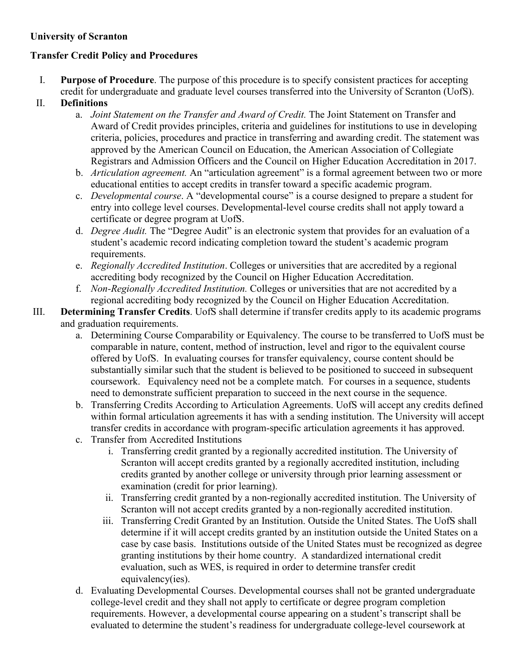## **University of Scranton**

## **Transfer Credit Policy and Procedures**

I. **Purpose of Procedure**. The purpose of this procedure is to specify consistent practices for accepting credit for undergraduate and graduate level courses transferred into the University of Scranton (UofS).

### II. **Definitions**

- a. *Joint Statement on the Transfer and Award of Credit.* The Joint Statement on Transfer and Award of Credit provides principles, criteria and guidelines for institutions to use in developing criteria, policies, procedures and practice in transferring and awarding credit. The statement was approved by the American Council on Education, the American Association of Collegiate Registrars and Admission Officers and the Council on Higher Education Accreditation in 2017.
- b. *Articulation agreement*. An "articulation agreement" is a formal agreement between two or more educational entities to accept credits in transfer toward a specific academic program.
- c. *Developmental course*. A "developmental course" is a course designed to prepare a student for entry into college level courses. Developmental-level course credits shall not apply toward a certificate or degree program at UofS.
- d. *Degree Audit.* The "Degree Audit" is an electronic system that provides for an evaluation of a student's academic record indicating completion toward the student's academic program requirements.
- e. *Regionally Accredited Institution*. Colleges or universities that are accredited by a regional accrediting body recognized by the Council on Higher Education Accreditation.
- f. *Non-Regionally Accredited Institution.* Colleges or universities that are not accredited by a regional accrediting body recognized by the Council on Higher Education Accreditation.
- III. **Determining Transfer Credits**. UofS shall determine if transfer credits apply to its academic programs and graduation requirements.
	- a. Determining Course Comparability or Equivalency. The course to be transferred to UofS must be comparable in nature, content, method of instruction, level and rigor to the equivalent course offered by UofS. In evaluating courses for transfer equivalency, course content should be substantially similar such that the student is believed to be positioned to succeed in subsequent coursework. Equivalency need not be a complete match. For courses in a sequence, students need to demonstrate sufficient preparation to succeed in the next course in the sequence.
	- b. Transferring Credits According to Articulation Agreements. UofS will accept any credits defined within formal articulation agreements it has with a sending institution. The University will accept transfer credits in accordance with program-specific articulation agreements it has approved.
	- c. Transfer from Accredited Institutions
		- i. Transferring credit granted by a regionally accredited institution. The University of Scranton will accept credits granted by a regionally accredited institution, including credits granted by another college or university through prior learning assessment or examination (credit for prior learning).
		- ii. Transferring credit granted by a non-regionally accredited institution. The University of Scranton will not accept credits granted by a non-regionally accredited institution.
		- iii. Transferring Credit Granted by an Institution. Outside the United States. The UofS shall determine if it will accept credits granted by an institution outside the United States on a case by case basis. Institutions outside of the United States must be recognized as degree granting institutions by their home country. A standardized international credit evaluation, such as WES, is required in order to determine transfer credit equivalency(ies).
	- d. Evaluating Developmental Courses. Developmental courses shall not be granted undergraduate college-level credit and they shall not apply to certificate or degree program completion requirements. However, a developmental course appearing on a student's transcript shall be evaluated to determine the student's readiness for undergraduate college-level coursework at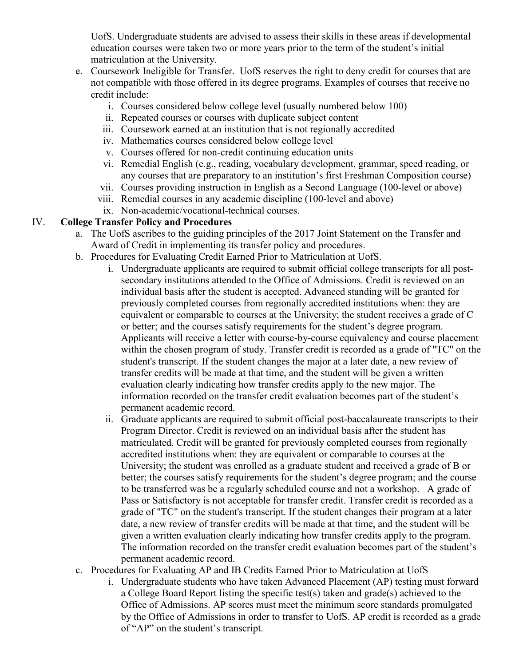UofS. Undergraduate students are advised to assess their skills in these areas if developmental education courses were taken two or more years prior to the term of the student's initial matriculation at the University.

- e. Coursework Ineligible for Transfer. UofS reserves the right to deny credit for courses that are not compatible with those offered in its degree programs. Examples of courses that receive no credit include:
	- i. Courses considered below college level (usually numbered below 100)
	- ii. Repeated courses or courses with duplicate subject content
	- iii. Coursework earned at an institution that is not regionally accredited
	- iv. Mathematics courses considered below college level
	- v. Courses offered for non-credit continuing education units
	- vi. Remedial English (e.g., reading, vocabulary development, grammar, speed reading, or any courses that are preparatory to an institution's first Freshman Composition course)
	- vii. Courses providing instruction in English as a Second Language (100-level or above)
	- viii. Remedial courses in any academic discipline (100-level and above)
	- ix. Non-academic/vocational-technical courses.

## IV. **College Transfer Policy and Procedures**

- a. The UofS ascribes to the guiding principles of the 2017 Joint Statement on the Transfer and Award of Credit in implementing its transfer policy and procedures.
- b. Procedures for Evaluating Credit Earned Prior to Matriculation at UofS.
	- i. Undergraduate applicants are required to submit official college transcripts for all postsecondary institutions attended to the Office of Admissions. Credit is reviewed on an individual basis after the student is accepted. Advanced standing will be granted for previously completed courses from regionally accredited institutions when: they are equivalent or comparable to courses at the University; the student receives a grade of C or better; and the courses satisfy requirements for the student's degree program. Applicants will receive a letter with course-by-course equivalency and course placement within the chosen program of study. Transfer credit is recorded as a grade of "TC" on the student's transcript. If the student changes the major at a later date, a new review of transfer credits will be made at that time, and the student will be given a written evaluation clearly indicating how transfer credits apply to the new major. The information recorded on the transfer credit evaluation becomes part of the student's permanent academic record.
	- ii. Graduate applicants are required to submit official post-baccalaureate transcripts to their Program Director. Credit is reviewed on an individual basis after the student has matriculated. Credit will be granted for previously completed courses from regionally accredited institutions when: they are equivalent or comparable to courses at the University; the student was enrolled as a graduate student and received a grade of B or better; the courses satisfy requirements for the student's degree program; and the course to be transferred was be a regularly scheduled course and not a workshop. A grade of Pass or Satisfactory is not acceptable for transfer credit. Transfer credit is recorded as a grade of "TC" on the student's transcript. If the student changes their program at a later date, a new review of transfer credits will be made at that time, and the student will be given a written evaluation clearly indicating how transfer credits apply to the program. The information recorded on the transfer credit evaluation becomes part of the student's permanent academic record.
- c. Procedures for Evaluating AP and IB Credits Earned Prior to Matriculation at UofS
	- i. Undergraduate students who have taken Advanced Placement (AP) testing must forward a College Board Report listing the specific test(s) taken and grade(s) achieved to the Office of Admissions. AP scores must meet the minimum score standards promulgated by the Office of Admissions in order to transfer to UofS. AP credit is recorded as a grade of "AP" on the student's transcript.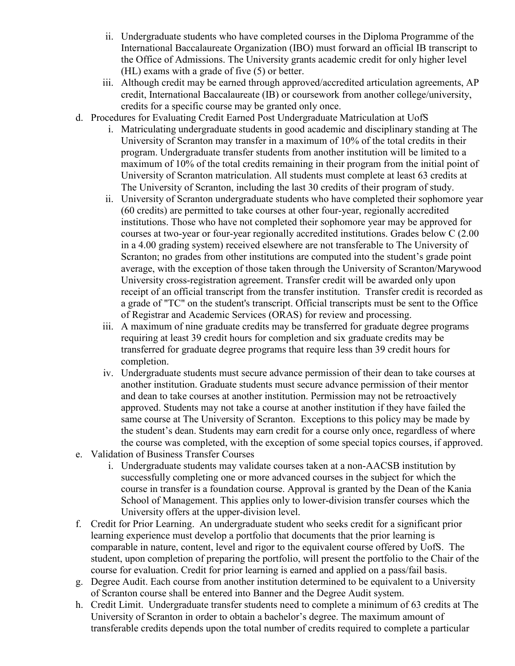- ii. Undergraduate students who have completed courses in the Diploma Programme of the International Baccalaureate Organization (IBO) must forward an official IB transcript to the Office of Admissions. The University grants academic credit for only higher level (HL) exams with a grade of five (5) or better.
- iii. Although credit may be earned through approved/accredited articulation agreements, AP credit, International Baccalaureate (IB) or coursework from another college/university, credits for a specific course may be granted only once.
- d. Procedures for Evaluating Credit Earned Post Undergraduate Matriculation at UofS
	- i. Matriculating undergraduate students in good academic and disciplinary standing at The University of Scranton may transfer in a maximum of 10% of the total credits in their program. Undergraduate transfer students from another institution will be limited to a maximum of 10% of the total credits remaining in their program from the initial point of University of Scranton matriculation. All students must complete at least 63 credits at The University of Scranton, including the last 30 credits of their program of study.
	- ii. University of Scranton undergraduate students who have completed their sophomore year (60 credits) are permitted to take courses at other four-year, regionally accredited institutions. Those who have not completed their sophomore year may be approved for courses at two-year or four-year regionally accredited institutions. Grades below C (2.00 in a 4.00 grading system) received elsewhere are not transferable to The University of Scranton; no grades from other institutions are computed into the student's grade point average, with the exception of those taken through the University of Scranton/Marywood University cross-registration agreement. Transfer credit will be awarded only upon receipt of an official transcript from the transfer institution. Transfer credit is recorded as a grade of "TC" on the student's transcript. Official transcripts must be sent to the Office of Registrar and Academic Services (ORAS) for review and processing.
	- iii. A maximum of nine graduate credits may be transferred for graduate degree programs requiring at least 39 credit hours for completion and six graduate credits may be transferred for graduate degree programs that require less than 39 credit hours for completion.
	- iv. Undergraduate students must secure advance permission of their dean to take courses at another institution. Graduate students must secure advance permission of their mentor and dean to take courses at another institution. Permission may not be retroactively approved. Students may not take a course at another institution if they have failed the same course at The University of Scranton. Exceptions to this policy may be made by the student's dean. Students may earn credit for a course only once, regardless of where the course was completed, with the exception of some special topics courses, if approved.
- e. Validation of Business Transfer Courses
	- i. Undergraduate students may validate courses taken at a non-AACSB institution by successfully completing one or more advanced courses in the subject for which the course in transfer is a foundation course. Approval is granted by the Dean of the Kania School of Management. This applies only to lower-division transfer courses which the University offers at the upper-division level.
- f. Credit for Prior Learning. An undergraduate student who seeks credit for a significant prior learning experience must develop a portfolio that documents that the prior learning is comparable in nature, content, level and rigor to the equivalent course offered by UofS. The student, upon completion of preparing the portfolio, will present the portfolio to the Chair of the course for evaluation. Credit for prior learning is earned and applied on a pass/fail basis.
- g. Degree Audit. Each course from another institution determined to be equivalent to a University of Scranton course shall be entered into Banner and the Degree Audit system.
- h. Credit Limit. Undergraduate transfer students need to complete a minimum of 63 credits at The University of Scranton in order to obtain a bachelor's degree. The maximum amount of transferable credits depends upon the total number of credits required to complete a particular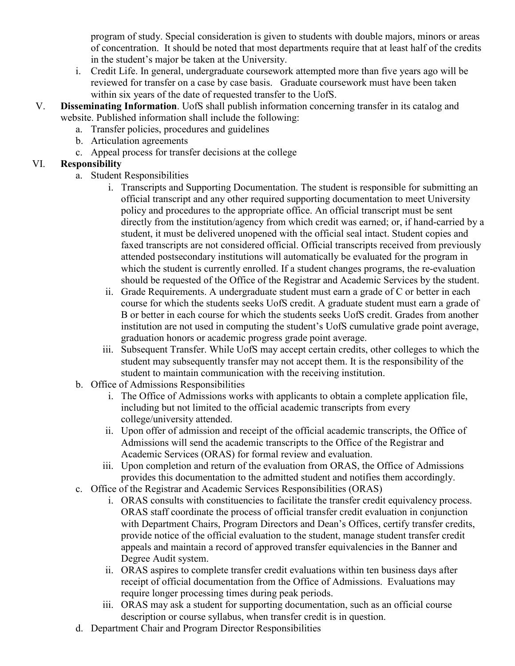program of study. Special consideration is given to students with double majors, minors or areas of concentration. It should be noted that most departments require that at least half of the credits in the student's major be taken at the University.

- i. Credit Life. In general, undergraduate coursework attempted more than five years ago will be reviewed for transfer on a case by case basis. Graduate coursework must have been taken within six years of the date of requested transfer to the UofS.
- V. **Disseminating Information**. UofS shall publish information concerning transfer in its catalog and website. Published information shall include the following:
	- a. Transfer policies, procedures and guidelines
	- b. Articulation agreements
	- c. Appeal process for transfer decisions at the college

# VI. **Responsibility**

- a. Student Responsibilities
	- i. Transcripts and Supporting Documentation. The student is responsible for submitting an official transcript and any other required supporting documentation to meet University policy and procedures to the appropriate office. An official transcript must be sent directly from the institution/agency from which credit was earned; or, if hand-carried by a student, it must be delivered unopened with the official seal intact. Student copies and faxed transcripts are not considered official. Official transcripts received from previously attended postsecondary institutions will automatically be evaluated for the program in which the student is currently enrolled. If a student changes programs, the re-evaluation should be requested of the Office of the Registrar and Academic Services by the student.
	- ii. Grade Requirements. A undergraduate student must earn a grade of C or better in each course for which the students seeks UofS credit. A graduate student must earn a grade of B or better in each course for which the students seeks UofS credit. Grades from another institution are not used in computing the student's UofS cumulative grade point average, graduation honors or academic progress grade point average.
	- iii. Subsequent Transfer. While UofS may accept certain credits, other colleges to which the student may subsequently transfer may not accept them. It is the responsibility of the student to maintain communication with the receiving institution.
- b. Office of Admissions Responsibilities
	- i. The Office of Admissions works with applicants to obtain a complete application file, including but not limited to the official academic transcripts from every college/university attended.
	- ii. Upon offer of admission and receipt of the official academic transcripts, the Office of Admissions will send the academic transcripts to the Office of the Registrar and Academic Services (ORAS) for formal review and evaluation.
	- iii. Upon completion and return of the evaluation from ORAS, the Office of Admissions provides this documentation to the admitted student and notifies them accordingly.
- c. Office of the Registrar and Academic Services Responsibilities (ORAS)
	- i. ORAS consults with constituencies to facilitate the transfer credit equivalency process. ORAS staff coordinate the process of official transfer credit evaluation in conjunction with Department Chairs, Program Directors and Dean's Offices, certify transfer credits, provide notice of the official evaluation to the student, manage student transfer credit appeals and maintain a record of approved transfer equivalencies in the Banner and Degree Audit system.
	- ii. ORAS aspires to complete transfer credit evaluations within ten business days after receipt of official documentation from the Office of Admissions. Evaluations may require longer processing times during peak periods.
	- iii. ORAS may ask a student for supporting documentation, such as an official course description or course syllabus, when transfer credit is in question.
- d. Department Chair and Program Director Responsibilities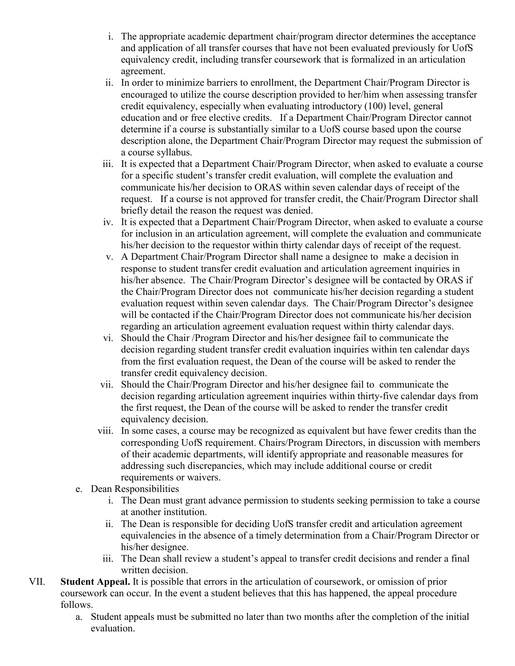- i. The appropriate academic department chair/program director determines the acceptance and application of all transfer courses that have not been evaluated previously for UofS equivalency credit, including transfer coursework that is formalized in an articulation agreement.
- ii. In order to minimize barriers to enrollment, the Department Chair/Program Director is encouraged to utilize the course description provided to her/him when assessing transfer credit equivalency, especially when evaluating introductory (100) level, general education and or free elective credits. If a Department Chair/Program Director cannot determine if a course is substantially similar to a UofS course based upon the course description alone, the Department Chair/Program Director may request the submission of a course syllabus.
- iii. It is expected that a Department Chair/Program Director, when asked to evaluate a course for a specific student's transfer credit evaluation, will complete the evaluation and communicate his/her decision to ORAS within seven calendar days of receipt of the request. If a course is not approved for transfer credit, the Chair/Program Director shall briefly detail the reason the request was denied.
- iv. It is expected that a Department Chair/Program Director, when asked to evaluate a course for inclusion in an articulation agreement, will complete the evaluation and communicate his/her decision to the requestor within thirty calendar days of receipt of the request.
- v. A Department Chair/Program Director shall name a designee to make a decision in response to student transfer credit evaluation and articulation agreement inquiries in his/her absence. The Chair/Program Director's designee will be contacted by ORAS if the Chair/Program Director does not communicate his/her decision regarding a student evaluation request within seven calendar days. The Chair/Program Director's designee will be contacted if the Chair/Program Director does not communicate his/her decision regarding an articulation agreement evaluation request within thirty calendar days.
- vi. Should the Chair /Program Director and his/her designee fail to communicate the decision regarding student transfer credit evaluation inquiries within ten calendar days from the first evaluation request, the Dean of the course will be asked to render the transfer credit equivalency decision.
- vii. Should the Chair/Program Director and his/her designee fail to communicate the decision regarding articulation agreement inquiries within thirty-five calendar days from the first request, the Dean of the course will be asked to render the transfer credit equivalency decision.
- viii. In some cases, a course may be recognized as equivalent but have fewer credits than the corresponding UofS requirement. Chairs/Program Directors, in discussion with members of their academic departments, will identify appropriate and reasonable measures for addressing such discrepancies, which may include additional course or credit requirements or waivers.
- e. Dean Responsibilities
	- i. The Dean must grant advance permission to students seeking permission to take a course at another institution.
	- ii. The Dean is responsible for deciding UofS transfer credit and articulation agreement equivalencies in the absence of a timely determination from a Chair/Program Director or his/her designee.
	- iii. The Dean shall review a student's appeal to transfer credit decisions and render a final written decision.
- VII. **Student Appeal.** It is possible that errors in the articulation of coursework, or omission of prior coursework can occur. In the event a student believes that this has happened, the appeal procedure follows.
	- a. Student appeals must be submitted no later than two months after the completion of the initial evaluation.